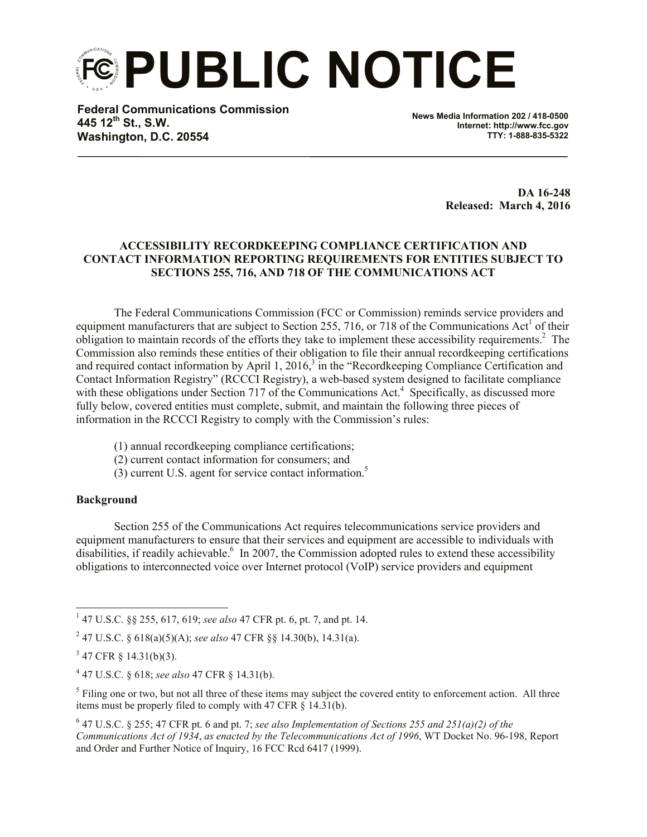**PUBLIC NOTICE**

**Federal Communications Commission 445 12th St., S.W. Washington, D.C. 20554**

**News Media Information 202 / 418-0500 Internet: http://www.fcc.gov TTY: 1-888-835-5322**

> **DA 16-248 Released: March 4, 2016**

## **ACCESSIBILITY RECORDKEEPING COMPLIANCE CERTIFICATION AND CONTACT INFORMATION REPORTING REQUIREMENTS FOR ENTITIES SUBJECT TO SECTIONS 255, 716, AND 718 OF THE COMMUNICATIONS ACT**

The Federal Communications Commission (FCC or Commission) reminds service providers and equipment manufacturers that are subject to Section 255, 716, or 718 of the Communications Act<sup>1</sup> of their obligation to maintain records of the efforts they take to implement these accessibility requirements. $2$  The Commission also reminds these entities of their obligation to file their annual recordkeeping certifications and required contact information by April 1, 2016,<sup>3</sup> in the "Recordkeeping Compliance Certification and Contact Information Registry" (RCCCI Registry), a web-based system designed to facilitate compliance with these obligations under Section 717 of the Communications Act.<sup>4</sup> Specifically, as discussed more fully below, covered entities must complete, submit, and maintain the following three pieces of information in the RCCCI Registry to comply with the Commission's rules:

- (1) annual recordkeeping compliance certifications;
- (2) current contact information for consumers; and
- (3) current U.S. agent for service contact information.<sup>5</sup>

### **Background**

Section 255 of the Communications Act requires telecommunications service providers and equipment manufacturers to ensure that their services and equipment are accessible to individuals with disabilities, if readily achievable.<sup>6</sup> In 2007, the Commission adopted rules to extend these accessibility obligations to interconnected voice over Internet protocol (VoIP) service providers and equipment

2 47 U.S.C. § 618(a)(5)(A); *see also* 47 CFR §§ 14.30(b), 14.31(a).

 $<sup>5</sup>$  Filing one or two, but not all three of these items may subject the covered entity to enforcement action. All three</sup> items must be properly filed to comply with 47 CFR § 14.31(b).

6 47 U.S.C. § 255; 47 CFR pt. 6 and pt. 7; *see also Implementation of Sections 255 and 251(a)(2) of the Communications Act of 1934*, *as enacted by the Telecommunications Act of 1996*, WT Docket No. 96-198, Report and Order and Further Notice of Inquiry, 16 FCC Rcd 6417 (1999).

l 1 47 U.S.C. §§ 255, 617, 619; *see also* 47 CFR pt. 6, pt. 7, and pt. 14.

 $3\,$  47 CFR § 14.31(b)(3).

<sup>4</sup> 47 U.S.C. § 618; *see also* 47 CFR § 14.31(b).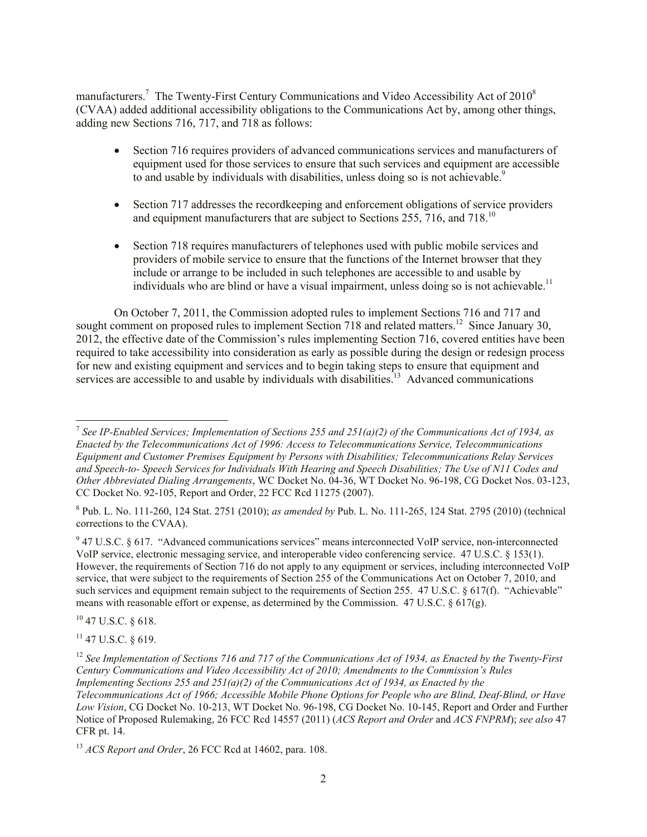manufacturers.<sup>7</sup> The Twenty-First Century Communications and Video Accessibility Act of 2010<sup>8</sup> (CVAA) added additional accessibility obligations to the Communications Act by, among other things, adding new Sections 716, 717, and 718 as follows:

- Section 716 requires providers of advanced communications services and manufacturers of equipment used for those services to ensure that such services and equipment are accessible to and usable by individuals with disabilities, unless doing so is not achievable.<sup>9</sup>
- Section 717 addresses the recordkeeping and enforcement obligations of service providers and equipment manufacturers that are subject to Sections 255, 716, and 718.<sup>10</sup>
- Section 718 requires manufacturers of telephones used with public mobile services and providers of mobile service to ensure that the functions of the Internet browser that they include or arrange to be included in such telephones are accessible to and usable by individuals who are blind or have a visual impairment, unless doing so is not achievable.<sup>11</sup>

On October 7, 2011, the Commission adopted rules to implement Sections 716 and 717 and sought comment on proposed rules to implement Section 718 and related matters.<sup>12</sup> Since January 30, 2012, the effective date of the Commission's rules implementing Section 716, covered entities have been required to take accessibility into consideration as early as possible during the design or redesign process for new and existing equipment and services and to begin taking steps to ensure that equipment and services are accessible to and usable by individuals with disabilities.<sup>13</sup> Advanced communications

8 Pub. L. No. 111-260, 124 Stat. 2751 (2010); *as amended by* Pub. L. No. 111-265, 124 Stat. 2795 (2010) (technical corrections to the CVAA).

 $9$  47 U.S.C. § 617. "Advanced communications services" means interconnected VoIP service, non-interconnected VoIP service, electronic messaging service, and interoperable video conferencing service. 47 U.S.C. § 153(1). However, the requirements of Section 716 do not apply to any equipment or services, including interconnected VoIP service, that were subject to the requirements of Section 255 of the Communications Act on October 7, 2010, and such services and equipment remain subject to the requirements of Section 255. 47 U.S.C. § 617(f). "Achievable" means with reasonable effort or expense, as determined by the Commission. 47 U.S.C.  $\S 617(g)$ .

<sup>10</sup> 47 U.S.C. § 618.

l

<sup>11</sup> 47 U.S.C. § 619.

<sup>7</sup> *See IP-Enabled Services; Implementation of Sections 255 and 251(a)(2) of the Communications Act of 1934, as Enacted by the Telecommunications Act of 1996: Access to Telecommunications Service, Telecommunications Equipment and Customer Premises Equipment by Persons with Disabilities; Telecommunications Relay Services and Speech-to- Speech Services for Individuals With Hearing and Speech Disabilities; The Use of N11 Codes and Other Abbreviated Dialing Arrangements*, WC Docket No. 04-36, WT Docket No. 96-198, CG Docket Nos. 03-123, CC Docket No. 92-105, Report and Order, 22 FCC Rcd 11275 (2007).

<sup>&</sup>lt;sup>12</sup> See Implementation of Sections 716 and 717 of the Communications Act of 1934, as Enacted by the Twenty-First *Century Communications and Video Accessibility Act of 2010; Amendments to the Commission's Rules Implementing Sections 255 and 251(a)(2) of the Communications Act of 1934, as Enacted by the Telecommunications Act of 1966; Accessible Mobile Phone Options for People who are Blind, Deaf-Blind, or Have Low Vision*, CG Docket No. 10-213, WT Docket No. 96-198, CG Docket No. 10-145, Report and Order and Further Notice of Proposed Rulemaking, 26 FCC Rcd 14557 (2011) (*ACS Report and Order* and *ACS FNPRM*); *see also* 47 CFR pt. 14.

<sup>13</sup> *ACS Report and Order*, 26 FCC Rcd at 14602, para. 108.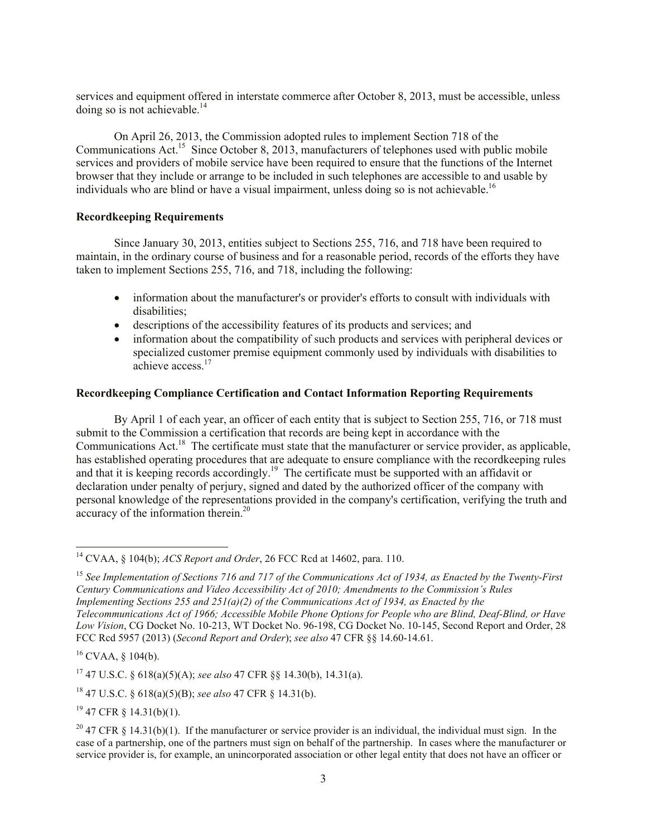services and equipment offered in interstate commerce after October 8, 2013, must be accessible, unless doing so is not achievable.<sup>14</sup>

On April 26, 2013, the Commission adopted rules to implement Section 718 of the Communications Act.<sup>15</sup> Since October 8, 2013, manufacturers of telephones used with public mobile services and providers of mobile service have been required to ensure that the functions of the Internet browser that they include or arrange to be included in such telephones are accessible to and usable by individuals who are blind or have a visual impairment, unless doing so is not achievable.<sup>16</sup>

#### **Recordkeeping Requirements**

Since January 30, 2013, entities subject to Sections 255, 716, and 718 have been required to maintain, in the ordinary course of business and for a reasonable period, records of the efforts they have taken to implement Sections 255, 716, and 718, including the following:

- information about the manufacturer's or provider's efforts to consult with individuals with disabilities;
- descriptions of the accessibility features of its products and services; and
- information about the compatibility of such products and services with peripheral devices or specialized customer premise equipment commonly used by individuals with disabilities to achieve access.<sup>17</sup>

### **Recordkeeping Compliance Certification and Contact Information Reporting Requirements**

By April 1 of each year, an officer of each entity that is subject to Section 255, 716, or 718 must submit to the Commission a certification that records are being kept in accordance with the Communications Act.<sup>18</sup> The certificate must state that the manufacturer or service provider, as applicable, has established operating procedures that are adequate to ensure compliance with the recordkeeping rules and that it is keeping records accordingly.<sup>19</sup> The certificate must be supported with an affidavit or declaration under penalty of perjury, signed and dated by the authorized officer of the company with personal knowledge of the representations provided in the company's certification, verifying the truth and accuracy of the information therein.<sup>20</sup>

l

 $19$  47 CFR  $\S$  14.31(b)(1).

<sup>14</sup> CVAA, § 104(b); *ACS Report and Order*, 26 FCC Rcd at 14602, para. 110.

<sup>15</sup> *See Implementation of Sections 716 and 717 of the Communications Act of 1934, as Enacted by the Twenty-First Century Communications and Video Accessibility Act of 2010; Amendments to the Commission's Rules Implementing Sections 255 and 251(a)(2) of the Communications Act of 1934, as Enacted by the Telecommunications Act of 1966; Accessible Mobile Phone Options for People who are Blind, Deaf-Blind, or Have Low Vision*, CG Docket No. 10-213, WT Docket No. 96-198, CG Docket No. 10-145, Second Report and Order, 28 FCC Rcd 5957 (2013) (*Second Report and Order*); *see also* 47 CFR §§ 14.60-14.61.

 $16$  CVAA, § 104(b).

<sup>17</sup> 47 U.S.C. § 618(a)(5)(A); *see also* 47 CFR §§ 14.30(b), 14.31(a).

<sup>18</sup> 47 U.S.C. § 618(a)(5)(B); *see also* 47 CFR § 14.31(b).

<sup>&</sup>lt;sup>20</sup> 47 CFR § 14.31(b)(1). If the manufacturer or service provider is an individual, the individual must sign. In the case of a partnership, one of the partners must sign on behalf of the partnership. In cases where the manufacturer or service provider is, for example, an unincorporated association or other legal entity that does not have an officer or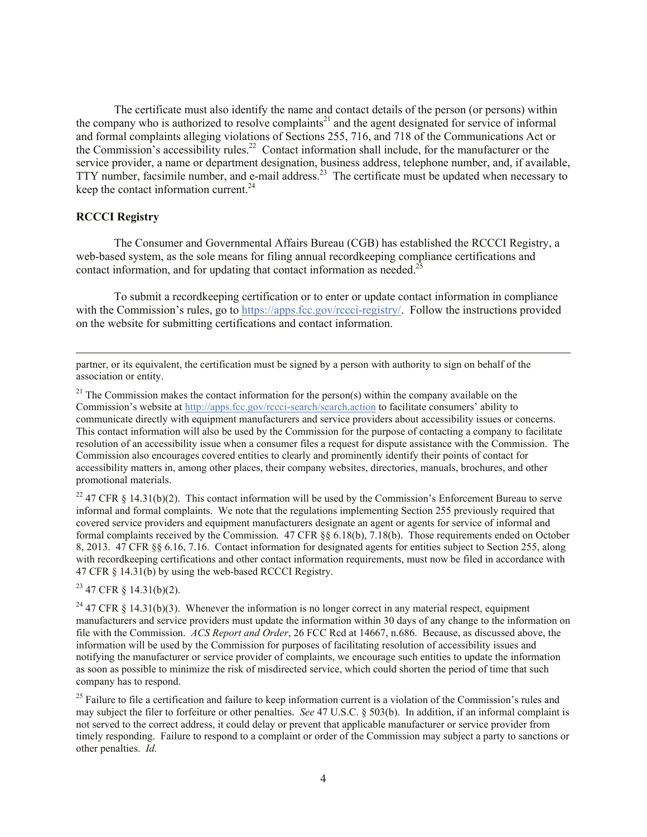The certificate must also identify the name and contact details of the person (or persons) within the company who is authorized to resolve complaints<sup>21</sup> and the agent designated for service of informal and formal complaints alleging violations of Sections 255, 716, and 718 of the Communications Act or the Commission's accessibility rules.<sup>22</sup> Contact information shall include, for the manufacturer or the service provider, a name or department designation, business address, telephone number, and, if available, TTY number, facsimile number, and e-mail address.<sup>23</sup> The certificate must be updated when necessary to keep the contact information current. $24$ 

#### **RCCCI Registry**

l

The Consumer and Governmental Affairs Bureau (CGB) has established the RCCCI Registry, a web-based system, as the sole means for filing annual recordkeeping compliance certifications and contact information, and for undating that contact information as needed.<sup>25</sup>

To submit a recordkeeping certification or to enter or update contact information in compliance with the Commission's rules, go to https://apps.fcc.gov/rccci-registry/. Follow the instructions provided on the website for submitting certifications and contact information.

partner, or its equivalent, the certification must be signed by a person with authority to sign on behalf of the association or entity.

 $21$  The Commission makes the contact information for the person(s) within the company available on the Commission's website at http://apps.fcc.gov/rccci-search/search.action to facilitate consumers' ability to communicate directly with equipment manufacturers and service providers about accessibility issues or concerns. This contact information will also be used by the Commission for the purpose of contacting a company to facilitate resolution of an accessibility issue when a consumer files a request for dispute assistance with the Commission. The Commission also encourages covered entities to clearly and prominently identify their points of contact for accessibility matters in, among other places, their company websites, directories, manuals, brochures, and other promotional materials.

<sup>22</sup> 47 CFR § 14.31(b)(2). This contact information will be used by the Commission's Enforcement Bureau to serve informal and formal complaints. We note that the regulations implementing Section 255 previously required that covered service providers and equipment manufacturers designate an agent or agents for service of informal and formal complaints received by the Commission. 47 CFR §§ 6.18(b), 7.18(b). Those requirements ended on October 8, 2013. 47 CFR §§ 6.16, 7.16. Contact information for designated agents for entities subject to Section 255, along with recordkeeping certifications and other contact information requirements, must now be filed in accordance with 47 CFR § 14.31(b) by using the web-based RCCCI Registry.

 $23$  47 CFR § 14.31(b)(2).

<sup>24</sup> 47 CFR § 14.31(b)(3). Whenever the information is no longer correct in any material respect, equipment manufacturers and service providers must update the information within 30 days of any change to the information on file with the Commission. *ACS Report and Order*, 26 FCC Rcd at 14667, n.686. Because, as discussed above, the information will be used by the Commission for purposes of facilitating resolution of accessibility issues and notifying the manufacturer or service provider of complaints, we encourage such entities to update the information as soon as possible to minimize the risk of misdirected service, which could shorten the period of time that such company has to respond.

 $25$  Failure to file a certification and failure to keep information current is a violation of the Commission's rules and may subject the filer to forfeiture or other penalties. *See* 47 U.S.C. § 503(b). In addition, if an informal complaint is not served to the correct address, it could delay or prevent that applicable manufacturer or service provider from timely responding. Failure to respond to a complaint or order of the Commission may subject a party to sanctions or other penalties. *Id.*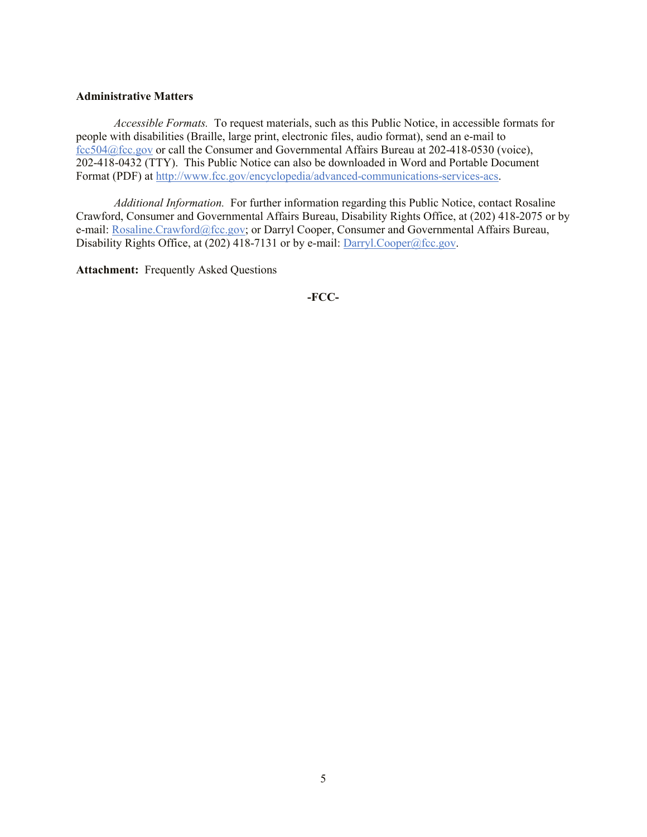#### **Administrative Matters**

*Accessible Formats.* To request materials, such as this Public Notice, in accessible formats for people with disabilities (Braille, large print, electronic files, audio format), send an e-mail to fcc504@fcc.gov or call the Consumer and Governmental Affairs Bureau at 202-418-0530 (voice), 202-418-0432 (TTY). This Public Notice can also be downloaded in Word and Portable Document Format (PDF) at http://www.fcc.gov/encyclopedia/advanced-communications-services-acs.

*Additional Information.* For further information regarding this Public Notice, contact Rosaline Crawford, Consumer and Governmental Affairs Bureau, Disability Rights Office, at (202) 418-2075 or by e-mail: Rosaline.Crawford@fcc.gov; or Darryl Cooper, Consumer and Governmental Affairs Bureau, Disability Rights Office, at (202) 418-7131 or by e-mail:  $\frac{Darry1. Cooper@fcc.gov.}{Darry1. Cooper@fcc.gov.}$ 

**Attachment:** Frequently Asked Questions

**-FCC-**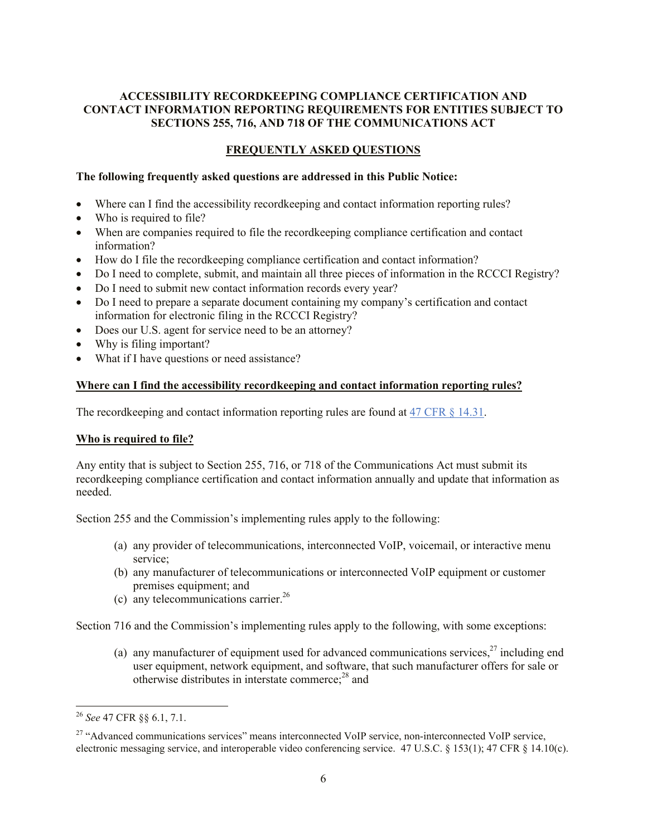## **ACCESSIBILITY RECORDKEEPING COMPLIANCE CERTIFICATION AND CONTACT INFORMATION REPORTING REQUIREMENTS FOR ENTITIES SUBJECT TO SECTIONS 255, 716, AND 718 OF THE COMMUNICATIONS ACT**

# **FREQUENTLY ASKED QUESTIONS**

## **The following frequently asked questions are addressed in this Public Notice:**

- Where can I find the accessibility recordkeeping and contact information reporting rules?
- Who is required to file?
- When are companies required to file the recordkeeping compliance certification and contact information?
- How do I file the recordkeeping compliance certification and contact information?
- Do I need to complete, submit, and maintain all three pieces of information in the RCCCI Registry?
- Do I need to submit new contact information records every year?
- Do I need to prepare a separate document containing my company's certification and contact information for electronic filing in the RCCCI Registry?
- Does our U.S. agent for service need to be an attorney?
- Why is filing important?
- What if I have questions or need assistance?

### **Where can I find the accessibility recordkeeping and contact information reporting rules?**

The record keeping and contact information reporting rules are found at 47 CFR § 14.31.

# **Who is required to file?**

Any entity that is subject to Section 255, 716, or 718 of the Communications Act must submit its recordkeeping compliance certification and contact information annually and update that information as needed.

Section 255 and the Commission's implementing rules apply to the following:

- (a) any provider of telecommunications, interconnected VoIP, voicemail, or interactive menu service;
- (b) any manufacturer of telecommunications or interconnected VoIP equipment or customer premises equipment; and
- (c) any telecommunications carrier.<sup>26</sup>

Section 716 and the Commission's implementing rules apply to the following, with some exceptions:

(a) any manufacturer of equipment used for advanced communications services.<sup>27</sup> including end user equipment, network equipment, and software, that such manufacturer offers for sale or otherwise distributes in interstate commerce;<sup>28</sup> and

l

<sup>26</sup> *See* 47 CFR §§ 6.1, 7.1.

<sup>&</sup>lt;sup>27</sup> "Advanced communications services" means interconnected VoIP service, non-interconnected VoIP service, electronic messaging service, and interoperable video conferencing service. 47 U.S.C. § 153(1); 47 CFR § 14.10(c).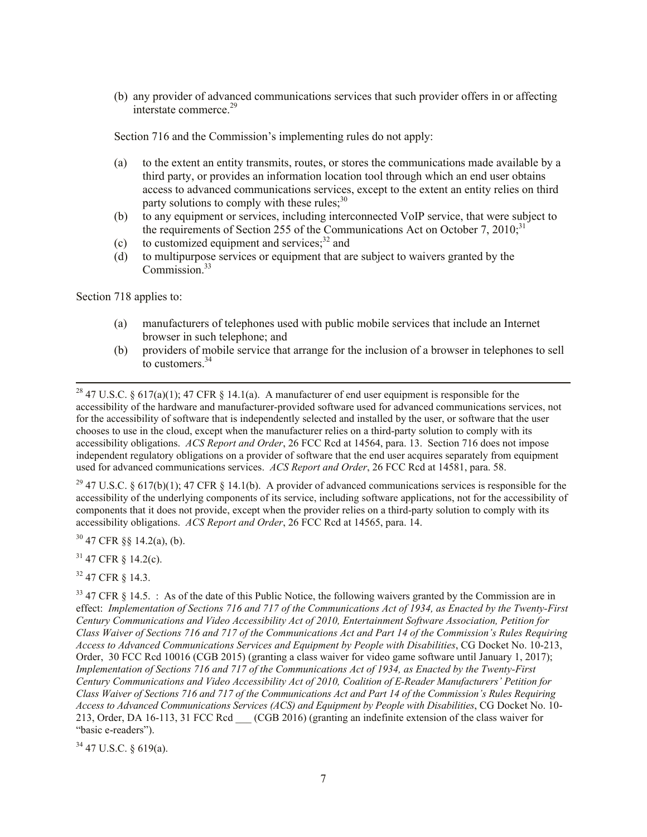(b) any provider of advanced communications services that such provider offers in or affecting interstate commerce  $29$ 

Section 716 and the Commission's implementing rules do not apply:

- (a) to the extent an entity transmits, routes, or stores the communications made available by a third party, or provides an information location tool through which an end user obtains access to advanced communications services, except to the extent an entity relies on third party solutions to comply with these rules:<sup>30</sup>
- (b) to any equipment or services, including interconnected VoIP service, that were subject to the requirements of Section 255 of the Communications Act on October 7, 2010;<sup>31</sup>
- (c) to customized equipment and services; $32$  and
- (d) to multipurpose services or equipment that are subject to waivers granted by the  $Commission<sup>33</sup>$

Section 718 applies to:

l

- (a) manufacturers of telephones used with public mobile services that include an Internet browser in such telephone; and
- (b) providers of mobile service that arrange for the inclusion of a browser in telephones to sell to customers.<sup>34</sup>

<sup>28</sup> 47 U.S.C. § 617(a)(1); 47 CFR § 14.1(a). A manufacturer of end user equipment is responsible for the accessibility of the hardware and manufacturer-provided software used for advanced communications services, not for the accessibility of software that is independently selected and installed by the user, or software that the user chooses to use in the cloud, except when the manufacturer relies on a third-party solution to comply with its accessibility obligations. *ACS Report and Order*, 26 FCC Rcd at 14564, para. 13. Section 716 does not impose independent regulatory obligations on a provider of software that the end user acquires separately from equipment used for advanced communications services. *ACS Report and Order*, 26 FCC Rcd at 14581, para. 58.

<sup>29</sup> 47 U.S.C. § 617(b)(1); 47 CFR § 14.1(b). A provider of advanced communications services is responsible for the accessibility of the underlying components of its service, including software applications, not for the accessibility of components that it does not provide, except when the provider relies on a third-party solution to comply with its accessibility obligations. *ACS Report and Order*, 26 FCC Rcd at 14565, para. 14.

 $30$  47 CFR §§ 14.2(a), (b).

<sup>31</sup> 47 CFR § 14.2(c).

 $32$  47 CFR  $8$  14.3.

 $33$  47 CFR § 14.5. : As of the date of this Public Notice, the following waivers granted by the Commission are in effect: *Implementation of Sections 716 and 717 of the Communications Act of 1934, as Enacted by the Twenty-First Century Communications and Video Accessibility Act of 2010, Entertainment Software Association, Petition for Class Waiver of Sections 716 and 717 of the Communications Act and Part 14 of the Commission's Rules Requiring Access to Advanced Communications Services and Equipment by People with Disabilities*, CG Docket No. 10-213, Order, 30 FCC Rcd 10016 (CGB 2015) (granting a class waiver for video game software until January 1, 2017); *Implementation of Sections 716 and 717 of the Communications Act of 1934, as Enacted by the Twenty-First Century Communications and Video Accessibility Act of 2010, Coalition of E-Reader Manufacturers' Petition for Class Waiver of Sections 716 and 717 of the Communications Act and Part 14 of the Commission's Rules Requiring Access to Advanced Communications Services (ACS) and Equipment by People with Disabilities*, CG Docket No. 10- 213, Order, DA 16-113, 31 FCC Rcd \_\_\_ (CGB 2016) (granting an indefinite extension of the class waiver for "basic e-readers").

 $34$  47 U.S.C. § 619(a).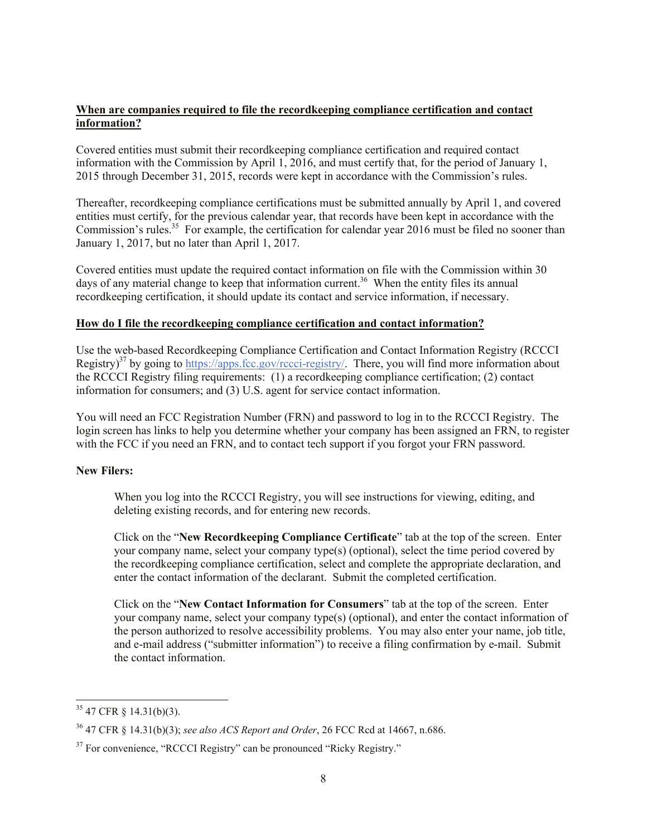## **When are companies required to file the recordkeeping compliance certification and contact information?**

Covered entities must submit their recordkeeping compliance certification and required contact information with the Commission by April 1, 2016, and must certify that, for the period of January 1, 2015 through December 31, 2015, records were kept in accordance with the Commission's rules.

Thereafter, recordkeeping compliance certifications must be submitted annually by April 1, and covered entities must certify, for the previous calendar year, that records have been kept in accordance with the Commission's rules.<sup>35</sup> For example, the certification for calendar year 2016 must be filed no sooner than January 1, 2017, but no later than April 1, 2017.

Covered entities must update the required contact information on file with the Commission within 30 days of any material change to keep that information current.<sup>36</sup> When the entity files its annual recordkeeping certification, it should update its contact and service information, if necessary.

### **How do I file the recordkeeping compliance certification and contact information?**

Use the web-based Recordkeeping Compliance Certification and Contact Information Registry (RCCCI Registry)<sup>37</sup> by going to https://apps.fcc.gov/rccci-registry/. There, you will find more information about the RCCCI Registry filing requirements: (1) a recordkeeping compliance certification; (2) contact information for consumers; and (3) U.S. agent for service contact information.

You will need an FCC Registration Number (FRN) and password to log in to the RCCCI Registry. The login screen has links to help you determine whether your company has been assigned an FRN, to register with the FCC if you need an FRN, and to contact tech support if you forgot your FRN password.

# **New Filers:**

When you log into the RCCCI Registry, you will see instructions for viewing, editing, and deleting existing records, and for entering new records.

Click on the "**New Recordkeeping Compliance Certificate**" tab at the top of the screen. Enter your company name, select your company type(s) (optional), select the time period covered by the recordkeeping compliance certification, select and complete the appropriate declaration, and enter the contact information of the declarant. Submit the completed certification.

Click on the "**New Contact Information for Consumers**" tab at the top of the screen. Enter your company name, select your company type(s) (optional), and enter the contact information of the person authorized to resolve accessibility problems. You may also enter your name, job title, and e-mail address ("submitter information") to receive a filing confirmation by e-mail. Submit the contact information.

l

 $35$  47 CFR § 14.31(b)(3).

<sup>36</sup> 47 CFR § 14.31(b)(3); *see also ACS Report and Order*, 26 FCC Rcd at 14667, n.686.

<sup>&</sup>lt;sup>37</sup> For convenience, "RCCCI Registry" can be pronounced "Ricky Registry."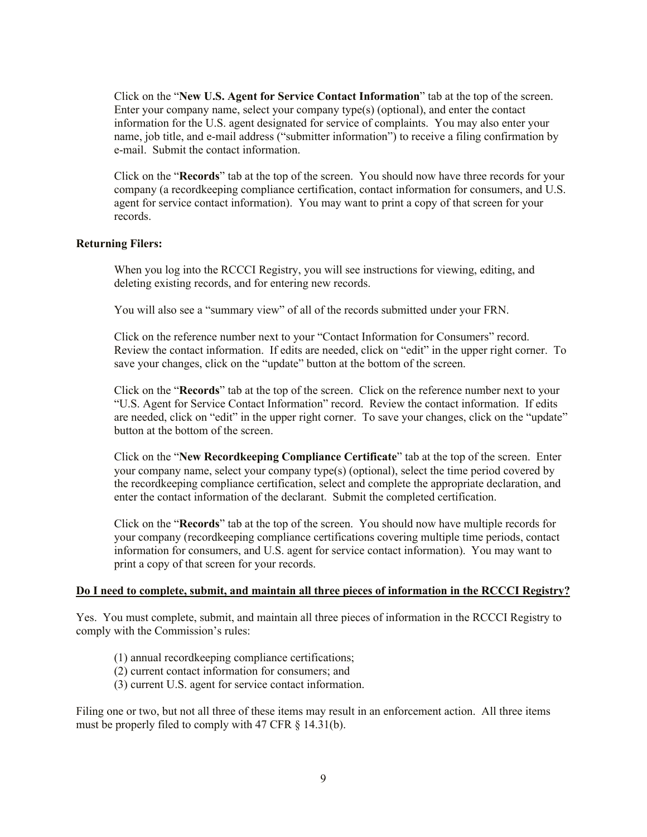Click on the "**New U.S. Agent for Service Contact Information**" tab at the top of the screen. Enter your company name, select your company type(s) (optional), and enter the contact information for the U.S. agent designated for service of complaints. You may also enter your name, job title, and e-mail address ("submitter information") to receive a filing confirmation by e-mail. Submit the contact information.

Click on the "**Records**" tab at the top of the screen. You should now have three records for your company (a recordkeeping compliance certification, contact information for consumers, and U.S. agent for service contact information). You may want to print a copy of that screen for your records.

### **Returning Filers:**

When you log into the RCCCI Registry, you will see instructions for viewing, editing, and deleting existing records, and for entering new records.

You will also see a "summary view" of all of the records submitted under your FRN.

Click on the reference number next to your "Contact Information for Consumers" record. Review the contact information. If edits are needed, click on "edit" in the upper right corner. To save your changes, click on the "update" button at the bottom of the screen.

Click on the "**Records**" tab at the top of the screen. Click on the reference number next to your "U.S. Agent for Service Contact Information" record. Review the contact information. If edits are needed, click on "edit" in the upper right corner. To save your changes, click on the "update" button at the bottom of the screen.

Click on the "**New Recordkeeping Compliance Certificate**" tab at the top of the screen. Enter your company name, select your company type(s) (optional), select the time period covered by the recordkeeping compliance certification, select and complete the appropriate declaration, and enter the contact information of the declarant. Submit the completed certification.

Click on the "**Records**" tab at the top of the screen. You should now have multiple records for your company (recordkeeping compliance certifications covering multiple time periods, contact information for consumers, and U.S. agent for service contact information). You may want to print a copy of that screen for your records.

### **Do I need to complete, submit, and maintain all three pieces of information in the RCCCI Registry?**

Yes. You must complete, submit, and maintain all three pieces of information in the RCCCI Registry to comply with the Commission's rules:

- (1) annual recordkeeping compliance certifications;
- (2) current contact information for consumers; and
- (3) current U.S. agent for service contact information.

Filing one or two, but not all three of these items may result in an enforcement action. All three items must be properly filed to comply with 47 CFR § 14.31(b).